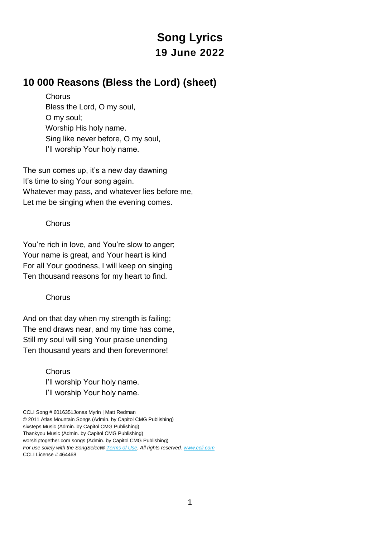# **Song Lyrics 19 June 2022**

### **10 000 Reasons (Bless the Lord) (sheet)**

**Chorus** Bless the Lord, O my soul, O my soul; Worship His holy name. Sing like never before, O my soul, I'll worship Your holy name.

The sun comes up, it's a new day dawning It's time to sing Your song again. Whatever may pass, and whatever lies before me, Let me be singing when the evening comes.

#### **Chorus**

You're rich in love, and You're slow to anger; Your name is great, and Your heart is kind For all Your goodness, I will keep on singing Ten thousand reasons for my heart to find.

#### **Chorus**

And on that day when my strength is failing; The end draws near, and my time has come, Still my soul will sing Your praise unending Ten thousand years and then forevermore!

> **Chorus** I'll worship Your holy name. I'll worship Your holy name.

CCLI Song # 6016351Jonas Myrin | Matt Redman © 2011 Atlas Mountain Songs (Admin. by Capitol CMG Publishing) sixsteps Music (Admin. by Capitol CMG Publishing) Thankyou Music (Admin. by Capitol CMG Publishing) worshiptogether.com songs (Admin. by Capitol CMG Publishing) *For use solely with the SongSelect® [Terms of Use.](https://songselect.ccli.com/about/termsofuse) All rights reserved. [www.ccli.com](http://www.ccli.com/)* CCLI License # 464468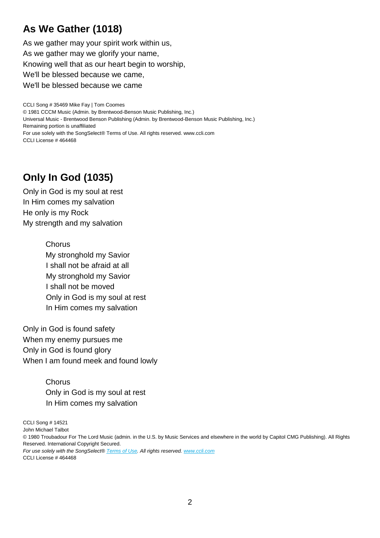## **As We Gather (1018)**

As we gather may your spirit work within us, As we gather may we glorify your name, Knowing well that as our heart begin to worship, We'll be blessed because we came, We'll be blessed because we came

CCLI Song # 35469 Mike Fay | Tom Coomes © 1981 CCCM Music (Admin. by Brentwood-Benson Music Publishing, Inc.) Universal Music - Brentwood Benson Publishing (Admin. by Brentwood-Benson Music Publishing, Inc.) Remaining portion is unaffiliated For use solely with the SongSelect® Terms of Use. All rights reserved. www.ccli.com CCLI License # 464468

## **Only In God (1035)**

Only in God is my soul at rest In Him comes my salvation He only is my Rock My strength and my salvation

> **Chorus** My stronghold my Savior I shall not be afraid at all My stronghold my Savior I shall not be moved Only in God is my soul at rest In Him comes my salvation

Only in God is found safety When my enemy pursues me Only in God is found glory When I am found meek and found lowly

> **Chorus** Only in God is my soul at rest In Him comes my salvation

CCLI Song # 14521

John Michael Talbot

© 1980 Troubadour For The Lord Music (admin. in the U.S. by Music Services and elsewhere in the world by Capitol CMG Publishing). All Rights Reserved. International Copyright Secured.

*For use solely with the SongSelect® [Terms of Use.](https://songselect.ccli.com/about/termsofuse) All rights reserved. [www.ccli.com](http://www.ccli.com/)* CCLI License # 464468